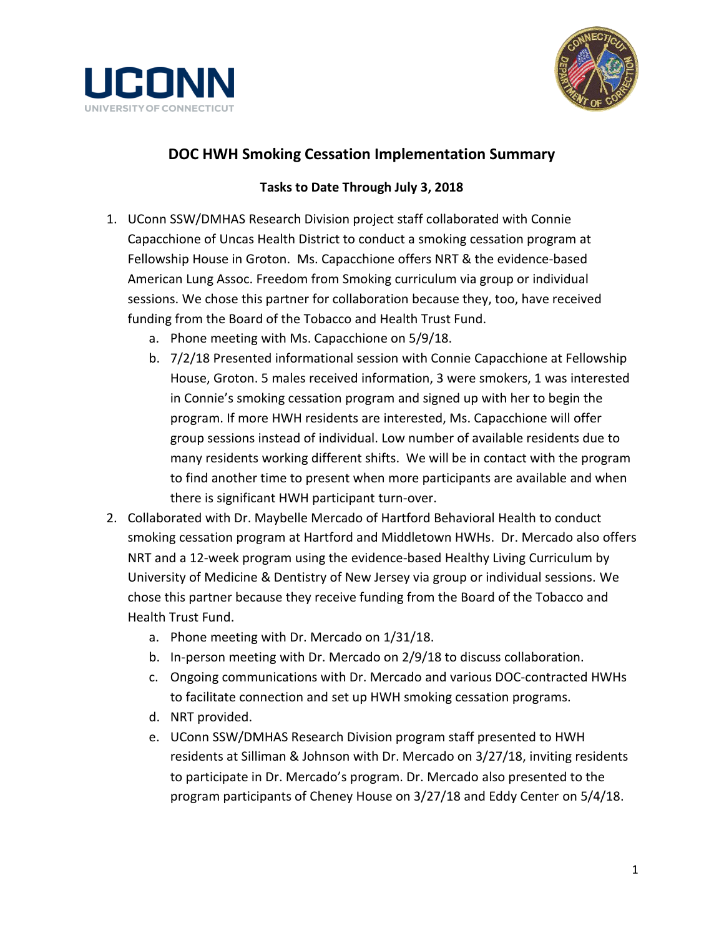



## **DOC HWH Smoking Cessation Implementation Summary**

## **Tasks to Date Through July 3, 2018**

- 1. UConn SSW/DMHAS Research Division project staff collaborated with Connie Capacchione of Uncas Health District to conduct a smoking cessation program at Fellowship House in Groton. Ms. Capacchione offers NRT & the evidence-based American Lung Assoc. Freedom from Smoking curriculum via group or individual sessions. We chose this partner for collaboration because they, too, have received funding from the Board of the Tobacco and Health Trust Fund.
	- a. Phone meeting with Ms. Capacchione on 5/9/18.
	- b. 7/2/18 Presented informational session with Connie Capacchione at Fellowship House, Groton. 5 males received information, 3 were smokers, 1 was interested in Connie's smoking cessation program and signed up with her to begin the program. If more HWH residents are interested, Ms. Capacchione will offer group sessions instead of individual. Low number of available residents due to many residents working different shifts. We will be in contact with the program to find another time to present when more participants are available and when there is significant HWH participant turn-over.
- 2. Collaborated with Dr. Maybelle Mercado of Hartford Behavioral Health to conduct smoking cessation program at Hartford and Middletown HWHs. Dr. Mercado also offers NRT and a 12-week program using the evidence-based Healthy Living Curriculum by University of Medicine & Dentistry of New Jersey via group or individual sessions. We chose this partner because they receive funding from the Board of the Tobacco and Health Trust Fund.
	- a. Phone meeting with Dr. Mercado on 1/31/18.
	- b. In-person meeting with Dr. Mercado on 2/9/18 to discuss collaboration.
	- c. Ongoing communications with Dr. Mercado and various DOC-contracted HWHs to facilitate connection and set up HWH smoking cessation programs.
	- d. NRT provided.
	- e. UConn SSW/DMHAS Research Division program staff presented to HWH residents at Silliman & Johnson with Dr. Mercado on 3/27/18, inviting residents to participate in Dr. Mercado's program. Dr. Mercado also presented to the program participants of Cheney House on 3/27/18 and Eddy Center on 5/4/18.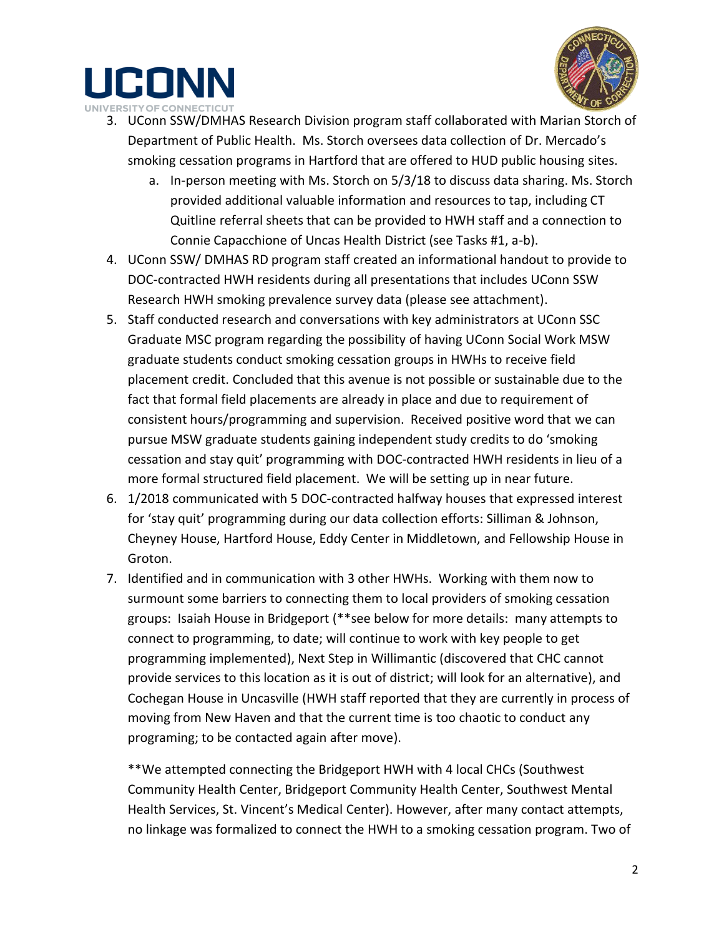



- 3. UConn SSW/DMHAS Research Division program staff collaborated with Marian Storch of Department of Public Health. Ms. Storch oversees data collection of Dr. Mercado's smoking cessation programs in Hartford that are offered to HUD public housing sites.
	- a. In-person meeting with Ms. Storch on 5/3/18 to discuss data sharing. Ms. Storch provided additional valuable information and resources to tap, including CT Quitline referral sheets that can be provided to HWH staff and a connection to Connie Capacchione of Uncas Health District (see Tasks #1, a-b).
- 4. UConn SSW/ DMHAS RD program staff created an informational handout to provide to DOC-contracted HWH residents during all presentations that includes UConn SSW Research HWH smoking prevalence survey data (please see attachment).
- 5. Staff conducted research and conversations with key administrators at UConn SSC Graduate MSC program regarding the possibility of having UConn Social Work MSW graduate students conduct smoking cessation groups in HWHs to receive field placement credit. Concluded that this avenue is not possible or sustainable due to the fact that formal field placements are already in place and due to requirement of consistent hours/programming and supervision. Received positive word that we can pursue MSW graduate students gaining independent study credits to do 'smoking cessation and stay quit' programming with DOC-contracted HWH residents in lieu of a more formal structured field placement. We will be setting up in near future.
- 6. 1/2018 communicated with 5 DOC-contracted halfway houses that expressed interest for 'stay quit' programming during our data collection efforts: Silliman & Johnson, Cheyney House, Hartford House, Eddy Center in Middletown, and Fellowship House in Groton.
- 7. Identified and in communication with 3 other HWHs. Working with them now to surmount some barriers to connecting them to local providers of smoking cessation groups: Isaiah House in Bridgeport (\*\*see below for more details: many attempts to connect to programming, to date; will continue to work with key people to get programming implemented), Next Step in Willimantic (discovered that CHC cannot provide services to this location as it is out of district; will look for an alternative), and Cochegan House in Uncasville (HWH staff reported that they are currently in process of moving from New Haven and that the current time is too chaotic to conduct any programing; to be contacted again after move).

\*\*We attempted connecting the Bridgeport HWH with 4 local CHCs (Southwest Community Health Center, Bridgeport Community Health Center, Southwest Mental Health Services, St. Vincent's Medical Center). However, after many contact attempts, no linkage was formalized to connect the HWH to a smoking cessation program. Two of